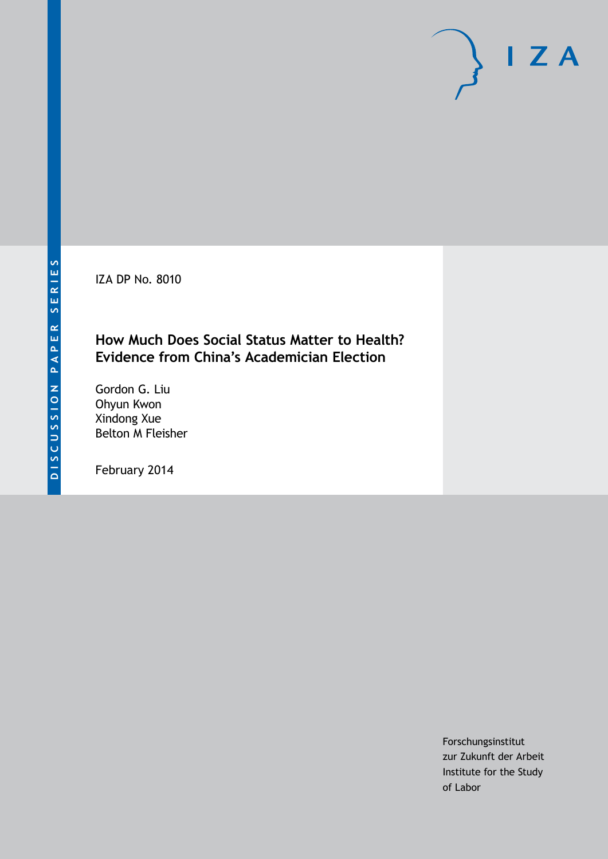IZA DP No. 8010

## **How Much Does Social Status Matter to Health? Evidence from China's Academician Election**

Gordon G. Liu Ohyun Kwon Xindong Xue Belton M Fleisher

February 2014

Forschungsinstitut zur Zukunft der Arbeit Institute for the Study of Labor

 $I Z A$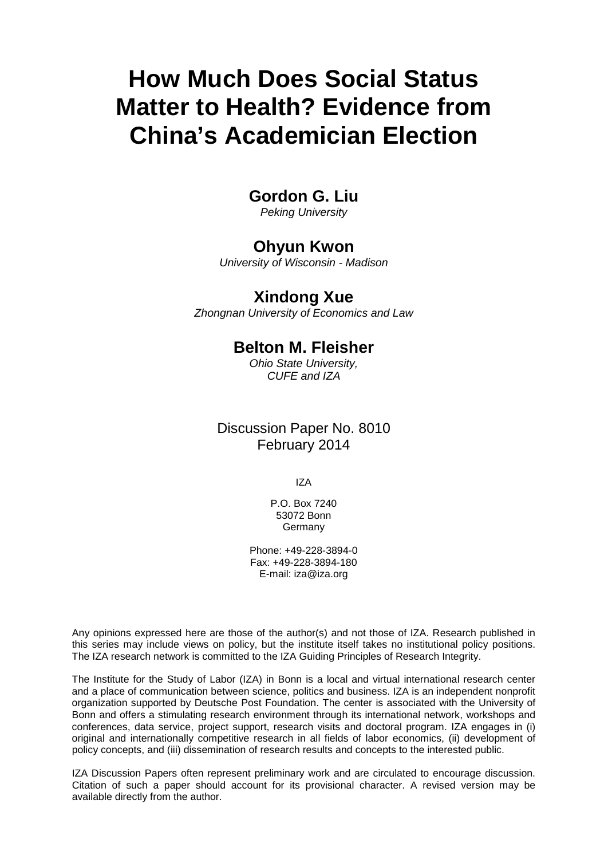# **How Much Does Social Status Matter to Health? Evidence from China's Academician Election**

# **Gordon G. Liu**

*Peking University*

### **Ohyun Kwon**

*University of Wisconsin - Madison*

### **Xindong Xue**

*Zhongnan University of Economics and Law*

### **Belton M. Fleisher**

*Ohio State University, CUFE and IZA*

### Discussion Paper No. 8010 February 2014

IZA

P.O. Box 7240 53072 Bonn **Germany** 

Phone: +49-228-3894-0 Fax: +49-228-3894-180 E-mail: [iza@iza.org](mailto:iza@iza.org)

Any opinions expressed here are those of the author(s) and not those of IZA. Research published in this series may include views on policy, but the institute itself takes no institutional policy positions. The IZA research network is committed to the IZA Guiding Principles of Research Integrity.

The Institute for the Study of Labor (IZA) in Bonn is a local and virtual international research center and a place of communication between science, politics and business. IZA is an independent nonprofit organization supported by Deutsche Post Foundation. The center is associated with the University of Bonn and offers a stimulating research environment through its international network, workshops and conferences, data service, project support, research visits and doctoral program. IZA engages in (i) original and internationally competitive research in all fields of labor economics, (ii) development of policy concepts, and (iii) dissemination of research results and concepts to the interested public.

IZA Discussion Papers often represent preliminary work and are circulated to encourage discussion. Citation of such a paper should account for its provisional character. A revised version may be available directly from the author.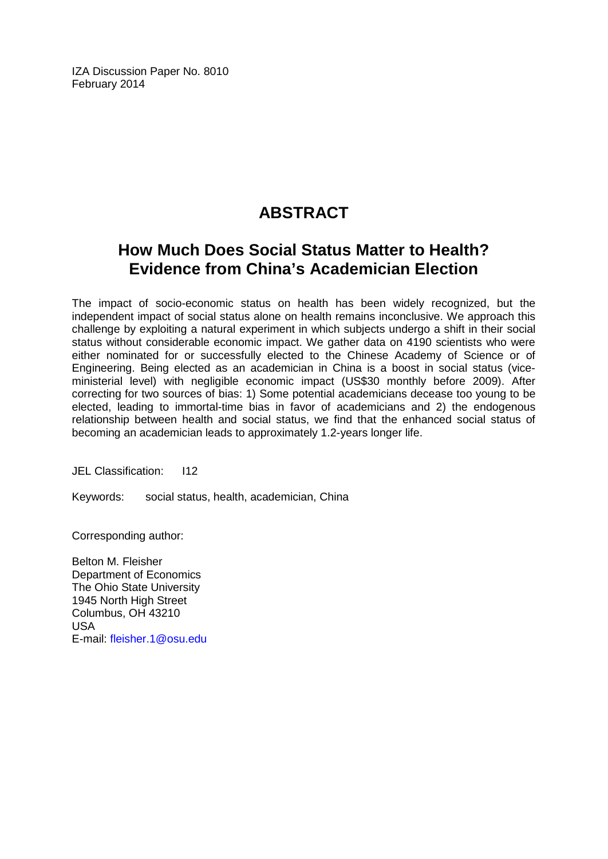IZA Discussion Paper No. 8010 February 2014

# **ABSTRACT**

# **How Much Does Social Status Matter to Health? Evidence from China's Academician Election**

The impact of socio-economic status on health has been widely recognized, but the independent impact of social status alone on health remains inconclusive. We approach this challenge by exploiting a natural experiment in which subjects undergo a shift in their social status without considerable economic impact. We gather data on 4190 scientists who were either nominated for or successfully elected to the Chinese Academy of Science or of Engineering. Being elected as an academician in China is a boost in social status (viceministerial level) with negligible economic impact (US\$30 monthly before 2009). After correcting for two sources of bias: 1) Some potential academicians decease too young to be elected, leading to immortal-time bias in favor of academicians and 2) the endogenous relationship between health and social status, we find that the enhanced social status of becoming an academician leads to approximately 1.2-years longer life.

JEL Classification: I12

Keywords: social status, health, academician, China

Corresponding author:

Belton M. Fleisher Department of Economics The Ohio State University 1945 North High Street Columbus, OH 43210 USA E-mail: [fleisher.1@osu.edu](mailto:fleisher.1@osu.edu)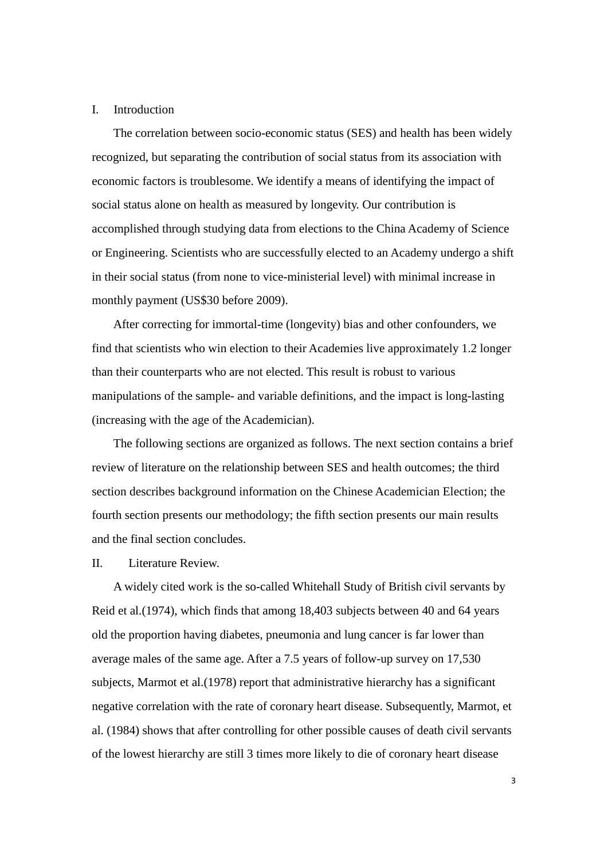#### I. Introduction

The correlation between socio-economic status (SES) and health has been widely recognized, but separating the contribution of social status from its association with economic factors is troublesome. We identify a means of identifying the impact of social status alone on health as measured by longevity. Our contribution is accomplished through studying data from elections to the China Academy of Science or Engineering. Scientists who are successfully elected to an Academy undergo a shift in their social status (from none to vice-ministerial level) with minimal increase in monthly payment (US\$30 before 2009).

After correcting for immortal-time (longevity) bias and other confounders, we find that scientists who win election to their Academies live approximately 1.2 longer than their counterparts who are not elected. This result is robust to various manipulations of the sample- and variable definitions, and the impact is long-lasting (increasing with the age of the Academician).

The following sections are organized as follows. The next section contains a brief review of literature on the relationship between SES and health outcomes; the third section describes background information on the Chinese Academician Election; the fourth section presents our methodology; the fifth section presents our main results and the final section concludes.

#### II. Literature Review.

A widely cited work is the so-called Whitehall Study of British civil servants by Reid et al.(1974), which finds that among 18,403 subjects between 40 and 64 years old the proportion having diabetes, pneumonia and lung cancer is far lower than average males of the same age. After a 7.5 years of follow-up survey on 17,530 subjects, Marmot et al.(1978) report that administrative hierarchy has a significant negative correlation with the rate of coronary heart disease. Subsequently, Marmot, et al. (1984) shows that after controlling for other possible causes of death civil servants of the lowest hierarchy are still 3 times more likely to die of coronary heart disease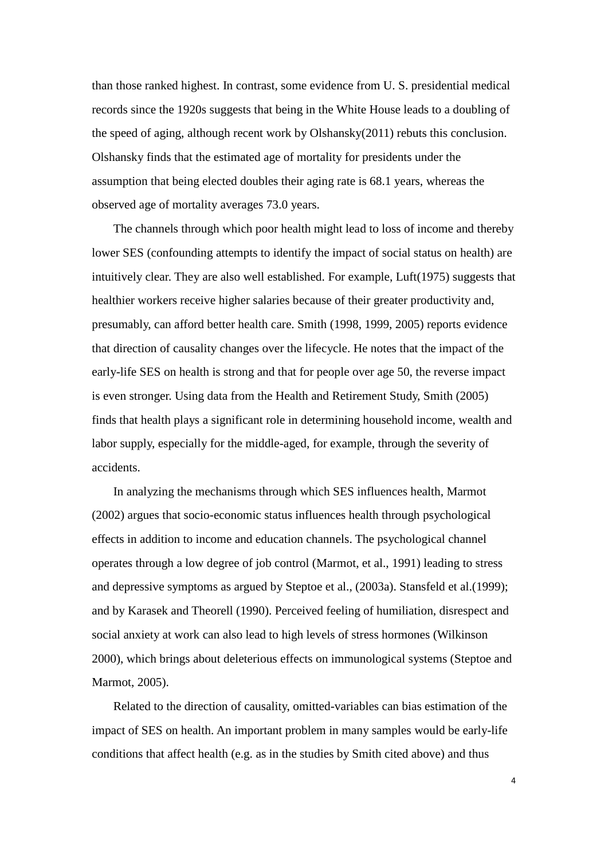than those ranked highest. In contrast, some evidence from U. S. presidential medical records since the 1920s suggests that being in the White House leads to a doubling of the speed of aging, although recent work by Olshansky(2011) rebuts this conclusion. Olshansky finds that the estimated age of mortality for presidents under the assumption that being elected doubles their aging rate is 68.1 years, whereas the observed age of mortality averages 73.0 years.

The channels through which poor health might lead to loss of income and thereby lower SES (confounding attempts to identify the impact of social status on health) are intuitively clear. They are also well established. For example, Luft(1975) suggests that healthier workers receive higher salaries because of their greater productivity and, presumably, can afford better health care. Smith (1998, 1999, 2005) reports evidence that direction of causality changes over the lifecycle. He notes that the impact of the early-life SES on health is strong and that for people over age 50, the reverse impact is even stronger. Using data from the Health and Retirement Study, Smith (2005) finds that health plays a significant role in determining household income, wealth and labor supply, especially for the middle-aged, for example, through the severity of accidents.

In analyzing the mechanisms through which SES influences health, Marmot (2002) argues that socio-economic status influences health through psychological effects in addition to income and education channels. The psychological channel operates through a low degree of job control (Marmot, et al., 1991) leading to stress and depressive symptoms as argued by Steptoe et al., (2003a). Stansfeld et al.(1999); and by Karasek and Theorell (1990). Perceived feeling of humiliation, disrespect and social anxiety at work can also lead to high levels of stress hormones (Wilkinson 2000), which brings about deleterious effects on immunological systems (Steptoe and Marmot, 2005).

Related to the direction of causality, omitted-variables can bias estimation of the impact of SES on health. An important problem in many samples would be early-life conditions that affect health (e.g. as in the studies by Smith cited above) and thus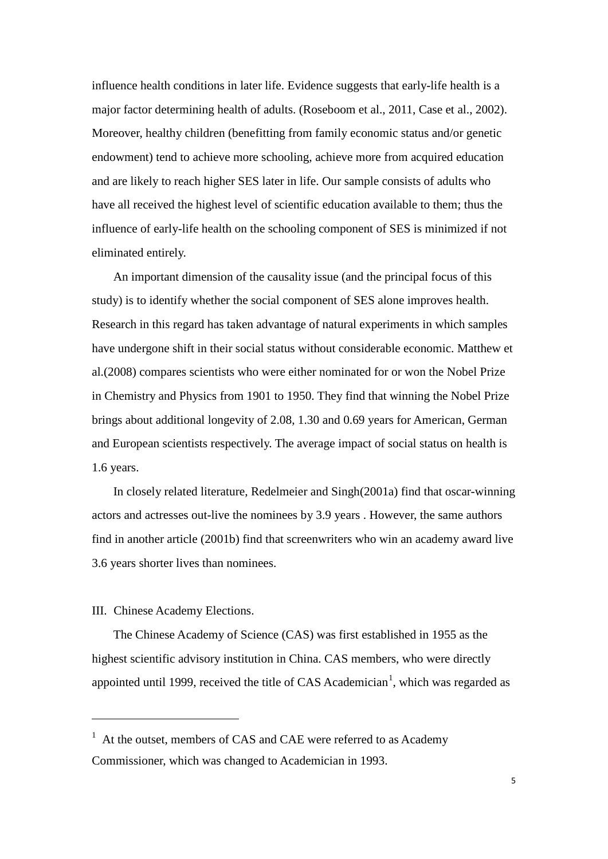influence health conditions in later life. Evidence suggests that early-life health is a major factor determining health of adults. (Roseboom et al., 2011, Case et al., 2002). Moreover, healthy children (benefitting from family economic status and/or genetic endowment) tend to achieve more schooling, achieve more from acquired education and are likely to reach higher SES later in life. Our sample consists of adults who have all received the highest level of scientific education available to them; thus the influence of early-life health on the schooling component of SES is minimized if not eliminated entirely.

An important dimension of the causality issue (and the principal focus of this study) is to identify whether the social component of SES alone improves health. Research in this regard has taken advantage of natural experiments in which samples have undergone shift in their social status without considerable economic. Matthew et al.(2008) compares scientists who were either nominated for or won the Nobel Prize in Chemistry and Physics from 1901 to 1950. They find that winning the Nobel Prize brings about additional longevity of 2.08, 1.30 and 0.69 years for American, German and European scientists respectively. The average impact of social status on health is 1.6 years.

In closely related literature, Redelmeier and Singh(2001a) find that oscar-winning actors and actresses out-live the nominees by 3.9 years . However, the same authors find in another article (2001b) find that screenwriters who win an academy award live 3.6 years shorter lives than nominees.

III. Chinese Academy Elections.

1

The Chinese Academy of Science (CAS) was first established in 1955 as the highest scientific advisory institution in China. CAS members, who were directly appointed until 1999, received the title of CAS Academician<sup>1</sup>, which was regarded as

<span id="page-5-0"></span> $1$  At the outset, members of CAS and CAE were referred to as Academy Commissioner, which was changed to Academician in 1993.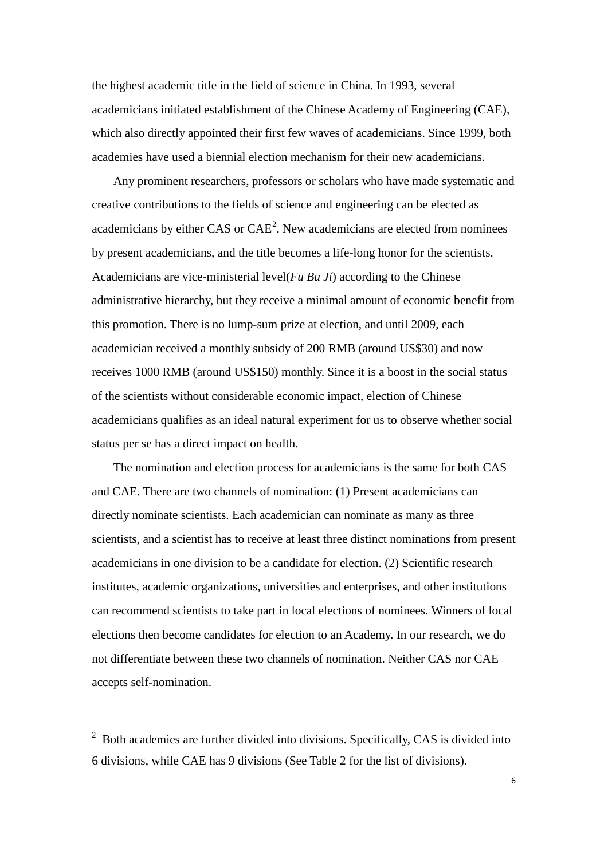the highest academic title in the field of science in China. In 1993, several academicians initiated establishment of the Chinese Academy of Engineering (CAE), which also directly appointed their first few waves of academicians. Since 1999, both academies have used a biennial election mechanism for their new academicians.

Any prominent researchers, professors or scholars who have made systematic and creative contributions to the fields of science and engineering can be elected as academicians by either CAS or  $CAE<sup>2</sup>$  $CAE<sup>2</sup>$  $CAE<sup>2</sup>$ . New academicians are elected from nominees by present academicians, and the title becomes a life-long honor for the scientists. Academicians are vice-ministerial level(*Fu Bu Ji*) according to the Chinese administrative hierarchy, but they receive a minimal amount of economic benefit from this promotion. There is no lump-sum prize at election, and until 2009, each academician received a monthly subsidy of 200 RMB (around US\$30) and now receives 1000 RMB (around US\$150) monthly. Since it is a boost in the social status of the scientists without considerable economic impact, election of Chinese academicians qualifies as an ideal natural experiment for us to observe whether social status per se has a direct impact on health.

The nomination and election process for academicians is the same for both CAS and CAE. There are two channels of nomination: (1) Present academicians can directly nominate scientists. Each academician can nominate as many as three scientists, and a scientist has to receive at least three distinct nominations from present academicians in one division to be a candidate for election. (2) Scientific research institutes, academic organizations, universities and enterprises, and other institutions can recommend scientists to take part in local elections of nominees. Winners of local elections then become candidates for election to an Academy. In our research, we do not differentiate between these two channels of nomination. Neither CAS nor CAE accepts self-nomination.

<span id="page-6-0"></span> $2\overline{2}$  Both academies are further divided into divisions. Specifically, CAS is divided into 6 divisions, while CAE has 9 divisions (See Table 2 for the list of divisions).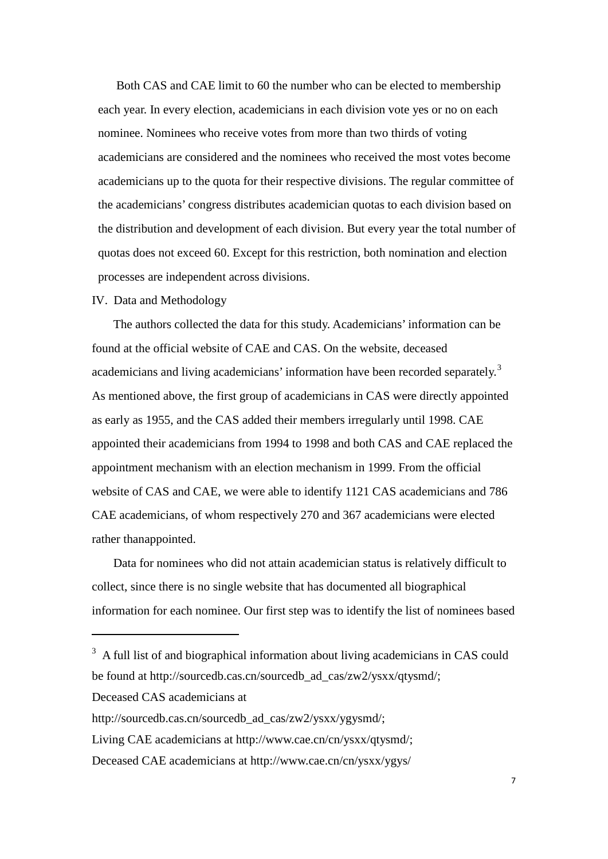Both CAS and CAE limit to 60 the number who can be elected to membership each year. In every election, academicians in each division vote yes or no on each nominee. Nominees who receive votes from more than two thirds of voting academicians are considered and the nominees who received the most votes become academicians up to the quota for their respective divisions. The regular committee of the academicians' congress distributes academician quotas to each division based on the distribution and development of each division. But every year the total number of quotas does not exceed 60. Except for this restriction, both nomination and election processes are independent across divisions.

#### IV. Data and Methodology

The authors collected the data for this study. Academicians' information can be found at the official website of CAE and CAS. On the website, deceased academicians and living academicians' information have been recorded separately.<sup>[3](#page-6-0)</sup> As mentioned above, the first group of academicians in CAS were directly appointed as early as 1955, and the CAS added their members irregularly until 1998. CAE appointed their academicians from 1994 to 1998 and both CAS and CAE replaced the appointment mechanism with an election mechanism in 1999. From the official website of CAS and CAE, we were able to identify 1121 CAS academicians and 786 CAE academicians, of whom respectively 270 and 367 academicians were elected rather thanappointed.

Data for nominees who did not attain academician status is relatively difficult to collect, since there is no single website that has documented all biographical information for each nominee. Our first step was to identify the list of nominees based

Deceased CAS academicians at

-

<sup>&</sup>lt;sup>3</sup> A full list of and biographical information about living academicians in CAS could be found at [http://sourcedb.cas.cn/sourcedb\\_ad\\_cas/zw2/ysxx/qtysmd/;](http://sourcedb.cas.cn/sourcedb_ad_cas/zw2/ysxx/qtysmd/)

http://sourcedb.cas.cn/sourcedb\_ad\_cas/zw2/ysxx/ygysmd/;

<span id="page-7-0"></span>Living CAE academicians at http://www.cae.cn/cn/ysxx/qtysmd/;

Deceased CAE academicians at<http://www.cae.cn/cn/ysxx/ygys/>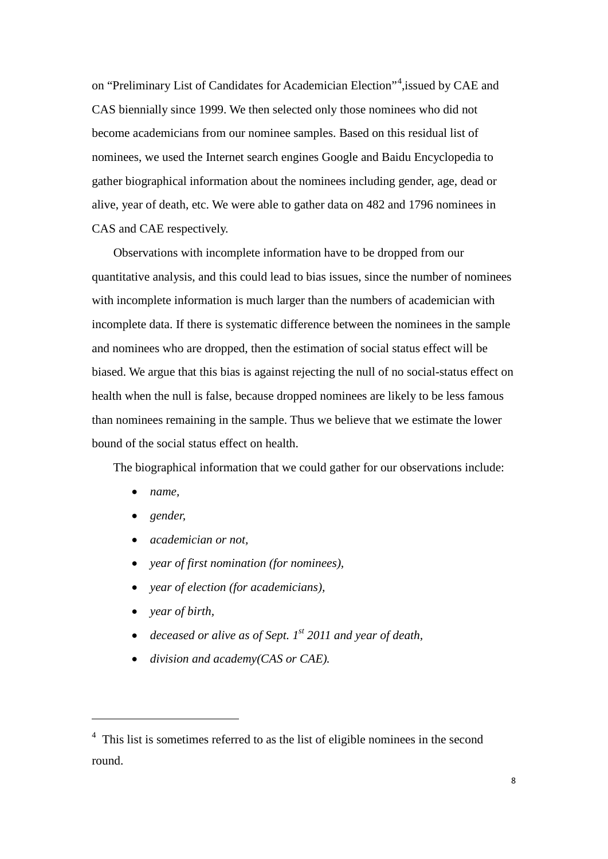on "Preliminary List of Candidates for Academician Election"<sup>[4](#page-7-0)</sup>, issued by CAE and CAS biennially since 1999. We then selected only those nominees who did not become academicians from our nominee samples. Based on this residual list of nominees, we used the Internet search engines Google and Baidu Encyclopedia to gather biographical information about the nominees including gender, age, dead or alive, year of death, etc. We were able to gather data on 482 and 1796 nominees in CAS and CAE respectively.

Observations with incomplete information have to be dropped from our quantitative analysis, and this could lead to bias issues, since the number of nominees with incomplete information is much larger than the numbers of academician with incomplete data. If there is systematic difference between the nominees in the sample and nominees who are dropped, then the estimation of social status effect will be biased. We argue that this bias is against rejecting the null of no social-status effect on health when the null is false, because dropped nominees are likely to be less famous than nominees remaining in the sample. Thus we believe that we estimate the lower bound of the social status effect on health.

The biographical information that we could gather for our observations include:

- *name,*
- *gender,*
- *academician or not,*
- *year of first nomination (for nominees),*
- *year of election (for academicians),*
- *year of birth,*

- *deceased or alive as of Sept. 1st 2011 and year of death,*
- *division and academy(CAS or CAE).*

<span id="page-8-0"></span><sup>&</sup>lt;sup>4</sup> This list is sometimes referred to as the list of eligible nominees in the second round.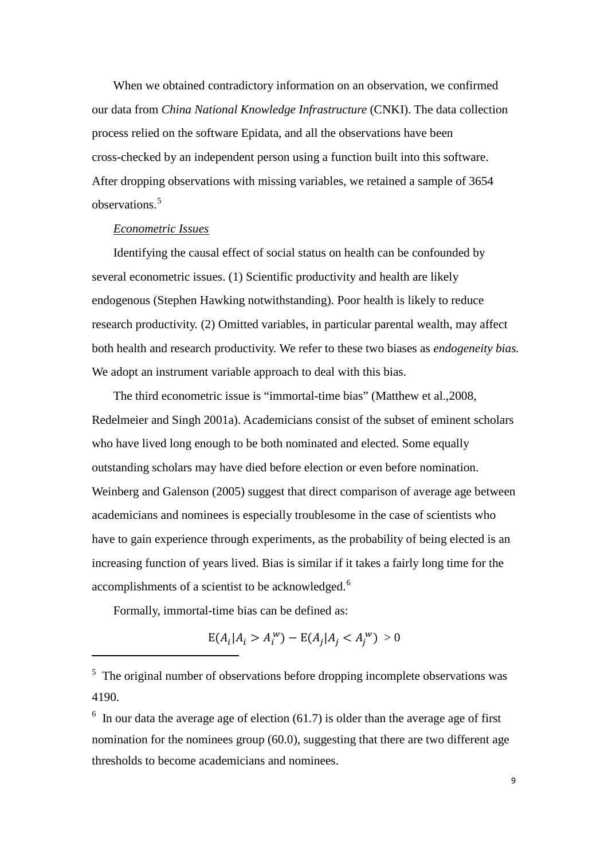When we obtained contradictory information on an observation, we confirmed our data from *China National Knowledge Infrastructure* (CNKI). The data collection process relied on the software Epidata, and all the observations have been cross-checked by an independent person using a function built into this software. After dropping observations with missing variables, we retained a sample of 3654 observations.[5](#page-8-0)

#### *Econometric Issues*

Identifying the causal effect of social status on health can be confounded by several econometric issues. (1) Scientific productivity and health are likely endogenous (Stephen Hawking notwithstanding). Poor health is likely to reduce research productivity. (2) Omitted variables, in particular parental wealth, may affect both health and research productivity. We refer to these two biases as *endogeneity bias.*  We adopt an instrument variable approach to deal with this bias.

The third econometric issue is "immortal-time bias" (Matthew et al.,2008, Redelmeier and Singh 2001a). Academicians consist of the subset of eminent scholars who have lived long enough to be both nominated and elected. Some equally outstanding scholars may have died before election or even before nomination. Weinberg and Galenson (2005) suggest that direct comparison of average age between academicians and nominees is especially troublesome in the case of scientists who have to gain experience through experiments, as the probability of being elected is an increasing function of years lived. Bias is similar if it takes a fairly long time for the accomplishments of a scientist to be acknowledged.<sup>[6](#page-9-0)</sup>

Formally, immortal-time bias can be defined as:

<u>.</u>

 $E(A_i | A_i > A_i^w) - E(A_j | A_j < A_j^w) > 0$ 

 $<sup>5</sup>$  The original number of observations before dropping incomplete observations was</sup> 4190.

<span id="page-9-1"></span><span id="page-9-0"></span> $6 \text{ In our data the average age of, } (61.7)$  is older than the average age of first nomination for the nominees group (60.0), suggesting that there are two different age thresholds to become academicians and nominees.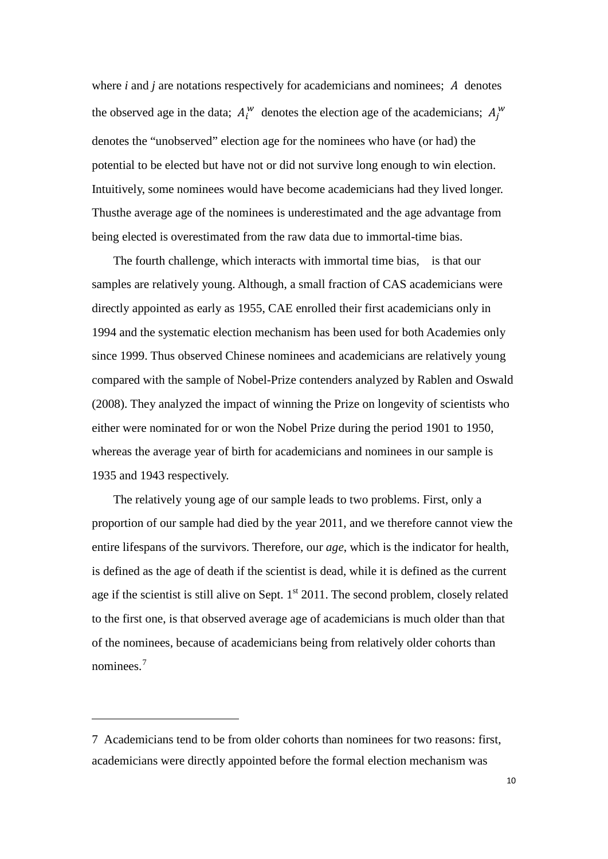where  $i$  and  $j$  are notations respectively for academicians and nominees;  $A$  denotes the observed age in the data;  $A_i^w$  denotes the election age of the academicians;  $A_j^w$ denotes the "unobserved" election age for the nominees who have (or had) the potential to be elected but have not or did not survive long enough to win election. Intuitively, some nominees would have become academicians had they lived longer. Thusthe average age of the nominees is underestimated and the age advantage from being elected is overestimated from the raw data due to immortal-time bias.

The fourth challenge, which interacts with immortal time bias, is that our samples are relatively young. Although, a small fraction of CAS academicians were directly appointed as early as 1955, CAE enrolled their first academicians only in 1994 and the systematic election mechanism has been used for both Academies only since 1999. Thus observed Chinese nominees and academicians are relatively young compared with the sample of Nobel-Prize contenders analyzed by Rablen and Oswald (2008). They analyzed the impact of winning the Prize on longevity of scientists who either were nominated for or won the Nobel Prize during the period 1901 to 1950, whereas the average year of birth for academicians and nominees in our sample is 1935 and 1943 respectively.

The relatively young age of our sample leads to two problems. First, only a proportion of our sample had died by the year 2011, and we therefore cannot view the entire lifespans of the survivors. Therefore, our *age*, which is the indicator for health, is defined as the age of death if the scientist is dead, while it is defined as the current age if the scientist is still alive on Sept.  $1<sup>st</sup>$  2011. The second problem, closely related to the first one, is that observed average age of academicians is much older than that of the nominees, because of academicians being from relatively older cohorts than nominees.[7](#page-9-1)

<span id="page-10-0"></span><sup>7</sup> Academicians tend to be from older cohorts than nominees for two reasons: first, academicians were directly appointed before the formal election mechanism was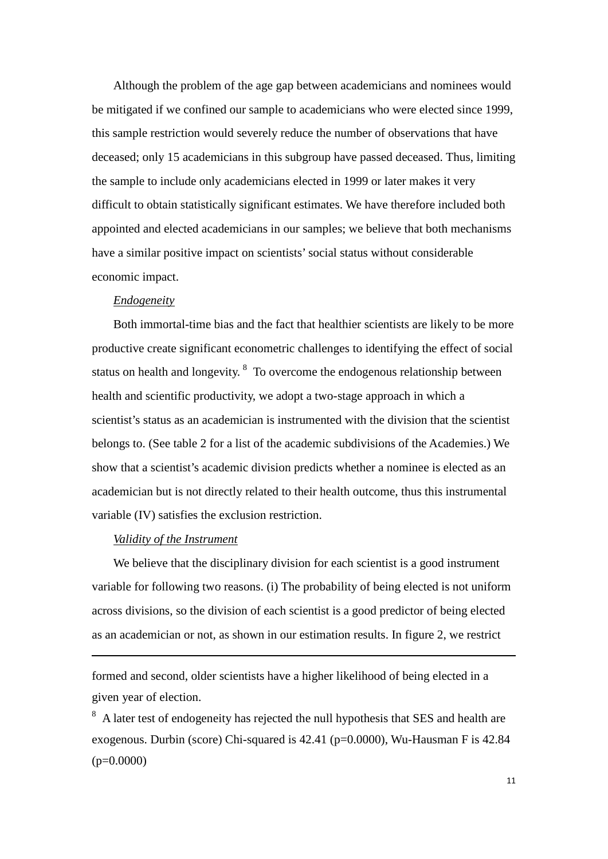Although the problem of the age gap between academicians and nominees would be mitigated if we confined our sample to academicians who were elected since 1999, this sample restriction would severely reduce the number of observations that have deceased; only 15 academicians in this subgroup have passed deceased. Thus, limiting the sample to include only academicians elected in 1999 or later makes it very difficult to obtain statistically significant estimates. We have therefore included both appointed and elected academicians in our samples; we believe that both mechanisms have a similar positive impact on scientists'social status without considerable economic impact.

#### *Endogeneity*

Both immortal-time bias and the fact that healthier scientists are likely to be more productive create significant econometric challenges to identifying the effect of social status on health and longevity. <sup>[8](#page-10-0)</sup> To overcome the endogenous relationship between health and scientific productivity, we adopt a two-stage approach in which a scientist's status as an academician is instrumented with the division that the scientist belongs to. (See table 2 for a list of the academic subdivisions of the Academies.) We show that a scientist's academic division predicts whether a nominee is elected as an academician but is not directly related to their health outcome, thus this instrumental variable (IV) satisfies the exclusion restriction.

#### *Validity of the Instrument*

<u>.</u>

We believe that the disciplinary division for each scientist is a good instrument variable for following two reasons. (i) The probability of being elected is not uniform across divisions, so the division of each scientist is a good predictor of being elected as an academician or not, as shown in our estimation results. In figure 2, we restrict

formed and second, older scientists have a higher likelihood of being elected in a given year of election.

<span id="page-11-0"></span><sup>8</sup> A later test of endogeneity has rejected the null hypothesis that SES and health are exogenous. Durbin (score) Chi-squared is 42.41 (p=0.0000), Wu-Hausman F is 42.84  $(p=0.0000)$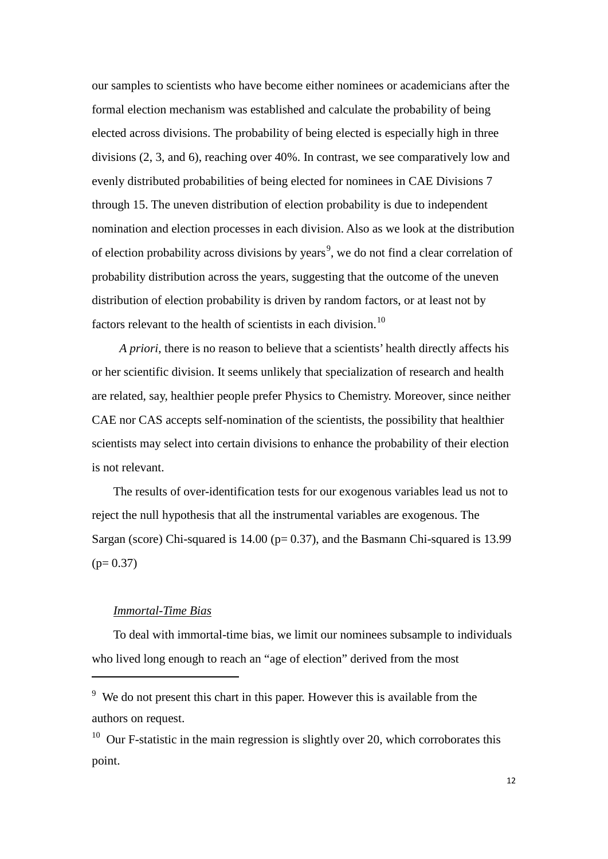our samples to scientists who have become either nominees or academicians after the formal election mechanism was established and calculate the probability of being elected across divisions. The probability of being elected is especially high in three divisions (2, 3, and 6), reaching over 40%. In contrast, we see comparatively low and evenly distributed probabilities of being elected for nominees in CAE Divisions 7 through 15. The uneven distribution of election probability is due to independent nomination and election processes in each division. Also as we look at the distribution of election probability across divisions by years<sup>[9](#page-11-0)</sup>, we do not find a clear correlation of probability distribution across the years, suggesting that the outcome of the uneven distribution of election probability is driven by random factors, or at least not by factors relevant to the health of scientists in each division.<sup>[10](#page-12-0)</sup>

*A priori*, there is no reason to believe that a scientists' health directly affects his or her scientific division. It seems unlikely that specialization of research and health are related, say, healthier people prefer Physics to Chemistry. Moreover, since neither CAE nor CAS accepts self-nomination of the scientists, the possibility that healthier scientists may select into certain divisions to enhance the probability of their election is not relevant.

The results of over-identification tests for our exogenous variables lead us not to reject the null hypothesis that all the instrumental variables are exogenous. The Sargan (score) Chi-squared is  $14.00$  ( $p= 0.37$ ), and the Basmann Chi-squared is 13.99  $(p= 0.37)$ 

#### *Immortal-Time Bias*

<u>.</u>

<span id="page-12-1"></span>To deal with immortal-time bias, we limit our nominees subsample to individuals who lived long enough to reach an "age of election" derived from the most

 $9\,$  We do not present this chart in this paper. However this is available from the authors on request.

<span id="page-12-0"></span> $10$  Our F-statistic in the main regression is slightly over 20, which corroborates this point.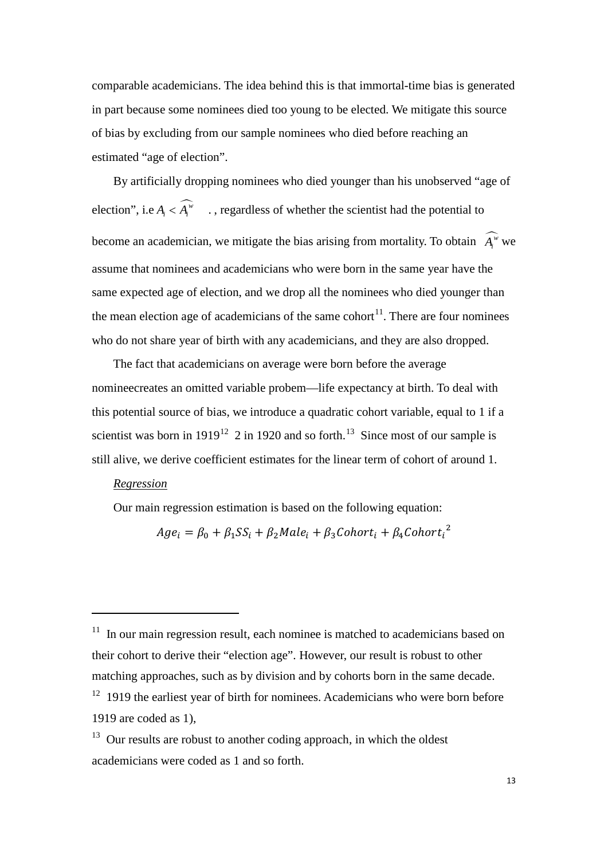comparable academicians. The idea behind this is that immortal-time bias is generated in part because some nominees died too young to be elected. We mitigate this source of bias by excluding from our sample nominees who died before reaching an estimated "age of election".

By artificially dropping nominees who died younger than his unobserved "age of election", i.e  $A_i < \widehat{A_i^w}$  , regardless of whether the scientist had the potential to become an academician, we mitigate the bias arising from mortality. To obtain  $\widehat{A_i^w}$  we assume that nominees and academicians who were born in the same year have the same expected age of election, and we drop all the nominees who died younger than the mean election age of academicians of the same cohort<sup>[11](#page-12-1)</sup>. There are four nominees who do not share year of birth with any academicians, and they are also dropped.

The fact that academicians on average were born before the average nomineecreates an omitted variable probem—life expectancy at birth. To deal with this potential source of bias, we introduce a quadratic cohort variable, equal to 1 if a scientist was born in  $1919^{12}$  $1919^{12}$  $1919^{12}$  2 in 1920 and so forth.<sup>[13](#page-13-1)</sup> Since most of our sample is still alive, we derive coefficient estimates for the linear term of cohort of around 1.

#### *Regression*

<u>.</u>

Our main regression estimation is based on the following equation:

 $Age_i = \beta_0 + \beta_1 SS_i + \beta_2 Male_i + \beta_3 Cohort_i + \beta_4 Cohort_i^2$ 

 $11$  In our main regression result, each nominee is matched to academicians based on their cohort to derive their "election age". However, our result is robust to other matching approaches, such as by division and by cohorts born in the same decade.

<span id="page-13-0"></span> $12$  1919 the earliest year of birth for nominees. Academicians who were born before 1919 are coded as 1),

<span id="page-13-1"></span> $13$  Our results are robust to another coding approach, in which the oldest academicians were coded as 1 and so forth.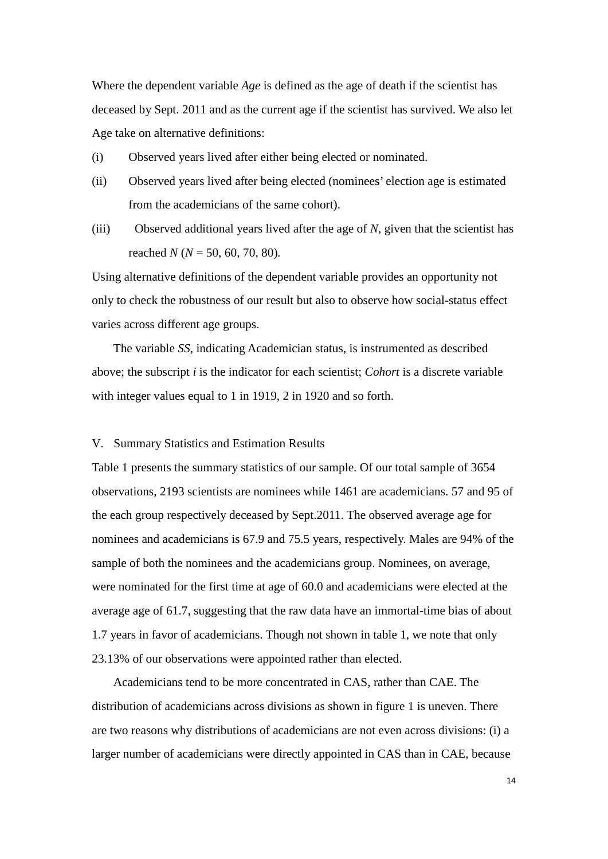Where the dependent variable *Age* is defined as the age of death if the scientist has deceased by Sept. 2011 and as the current age if the scientist has survived. We also let Age take on alternative definitions:

- (i) Observed years lived after either being elected or nominated.
- (ii) Observed years lived after being elected (nominees' election age is estimated from the academicians of the same cohort).
- (iii) Observed additional years lived after the age of *N*, given that the scientist has reached *N* (*N* = 50, 60, 70, 80)*.*

Using alternative definitions of the dependent variable provides an opportunity not only to check the robustness of our result but also to observe how social-status effect varies across different age groups.

The variable *SS*, indicating Academician status, is instrumented as described above; the subscript *i* is the indicator for each scientist; *Cohort* is a discrete variable with integer values equal to 1 in 1919, 2 in 1920 and so forth.

#### V. Summary Statistics and Estimation Results

Table 1 presents the summary statistics of our sample. Of our total sample of 3654 observations, 2193 scientists are nominees while 1461 are academicians. 57 and 95 of the each group respectively deceased by Sept.2011. The observed average age for nominees and academicians is 67.9 and 75.5 years, respectively. Males are 94% of the sample of both the nominees and the academicians group. Nominees, on average, were nominated for the first time at age of 60.0 and academicians were elected at the average age of 61.7, suggesting that the raw data have an immortal-time bias of about 1.7 years in favor of academicians. Though not shown in table 1, we note that only 23.13% of our observations were appointed rather than elected.

Academicians tend to be more concentrated in CAS, rather than CAE. The distribution of academicians across divisions as shown in figure 1 is uneven. There are two reasons why distributions of academicians are not even across divisions: (i) a larger number of academicians were directly appointed in CAS than in CAE, because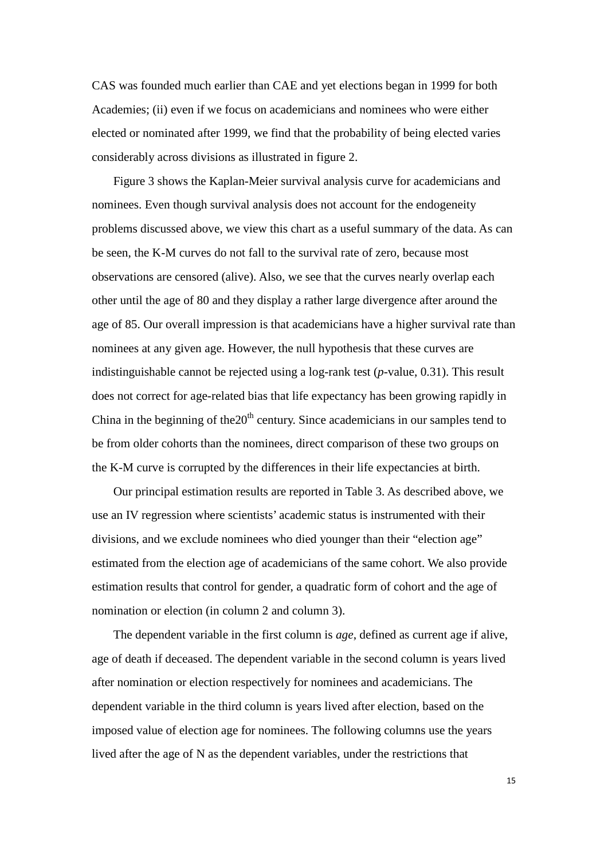CAS was founded much earlier than CAE and yet elections began in 1999 for both Academies; (ii) even if we focus on academicians and nominees who were either elected or nominated after 1999, we find that the probability of being elected varies considerably across divisions as illustrated in figure 2.

Figure 3 shows the Kaplan-Meier survival analysis curve for academicians and nominees. Even though survival analysis does not account for the endogeneity problems discussed above, we view this chart as a useful summary of the data. As can be seen, the K-M curves do not fall to the survival rate of zero, because most observations are censored (alive). Also, we see that the curves nearly overlap each other until the age of 80 and they display a rather large divergence after around the age of 85. Our overall impression is that academicians have a higher survival rate than nominees at any given age. However, the null hypothesis that these curves are indistinguishable cannot be rejected using a log-rank test (*p-*value, 0.31). This result does not correct for age-related bias that life expectancy has been growing rapidly in China in the beginning of the  $20<sup>th</sup>$  century. Since academicians in our samples tend to be from older cohorts than the nominees, direct comparison of these two groups on the K-M curve is corrupted by the differences in their life expectancies at birth.

Our principal estimation results are reported in Table 3. As described above, we use an IV regression where scientists' academic status is instrumented with their divisions, and we exclude nominees who died younger than their "election age" estimated from the election age of academicians of the same cohort. We also provide estimation results that control for gender, a quadratic form of cohort and the age of nomination or election (in column 2 and column 3).

The dependent variable in the first column is *age*, defined as current age if alive, age of death if deceased. The dependent variable in the second column is years lived after nomination or election respectively for nominees and academicians. The dependent variable in the third column is years lived after election, based on the imposed value of election age for nominees. The following columns use the years lived after the age of N as the dependent variables, under the restrictions that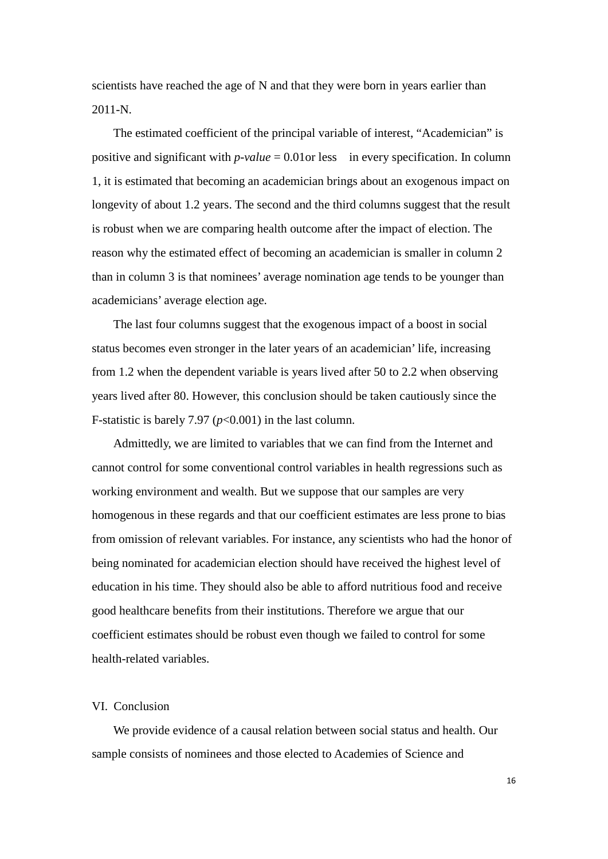scientists have reached the age of N and that they were born in years earlier than 2011-N.

The estimated coefficient of the principal variable of interest, "Academician" is positive and significant with *p-value* = 0.01or less in every specification. In column 1, it is estimated that becoming an academician brings about an exogenous impact on longevity of about 1.2 years. The second and the third columns suggest that the result is robust when we are comparing health outcome after the impact of election. The reason why the estimated effect of becoming an academician is smaller in column 2 than in column 3 is that nominees' average nomination age tends to be younger than academicians' average election age.

The last four columns suggest that the exogenous impact of a boost in social status becomes even stronger in the later years of an academician' life, increasing from 1.2 when the dependent variable is years lived after 50 to 2.2 when observing years lived after 80. However, this conclusion should be taken cautiously since the F-statistic is barely 7.97 ( $p<0.001$ ) in the last column.

Admittedly, we are limited to variables that we can find from the Internet and cannot control for some conventional control variables in health regressions such as working environment and wealth. But we suppose that our samples are very homogenous in these regards and that our coefficient estimates are less prone to bias from omission of relevant variables. For instance, any scientists who had the honor of being nominated for academician election should have received the highest level of education in his time. They should also be able to afford nutritious food and receive good healthcare benefits from their institutions. Therefore we argue that our coefficient estimates should be robust even though we failed to control for some health-related variables.

#### VI. Conclusion

We provide evidence of a causal relation between social status and health. Our sample consists of nominees and those elected to Academies of Science and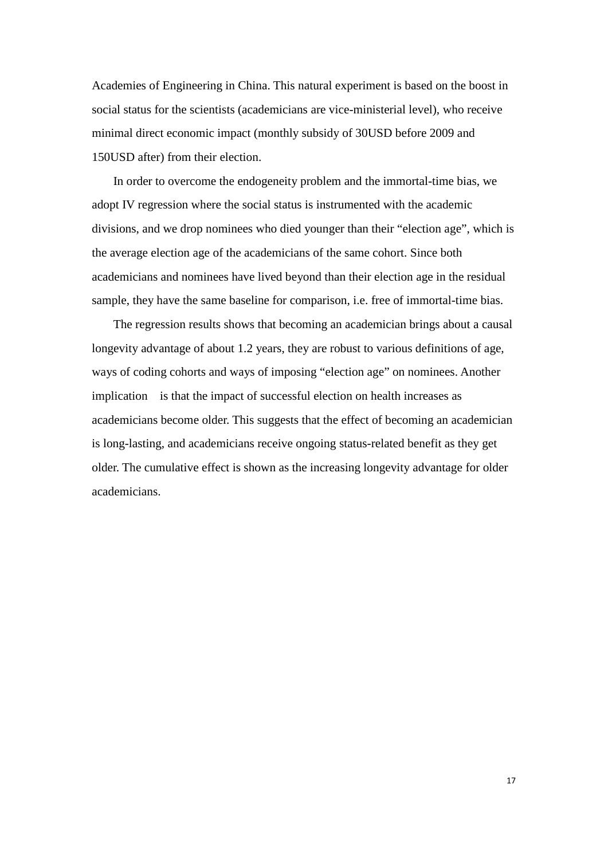Academies of Engineering in China. This natural experiment is based on the boost in social status for the scientists (academicians are vice-ministerial level), who receive minimal direct economic impact (monthly subsidy of 30USD before 2009 and 150USD after) from their election.

In order to overcome the endogeneity problem and the immortal-time bias, we adopt IV regression where the social status is instrumented with the academic divisions, and we drop nominees who died younger than their "election age", which is the average election age of the academicians of the same cohort. Since both academicians and nominees have lived beyond than their election age in the residual sample, they have the same baseline for comparison, i.e. free of immortal-time bias.

The regression results shows that becoming an academician brings about a causal longevity advantage of about 1.2 years, they are robust to various definitions of age, ways of coding cohorts and ways of imposing "election age" on nominees. Another implication is that the impact of successful election on health increases as academicians become older. This suggests that the effect of becoming an academician is long-lasting, and academicians receive ongoing status-related benefit as they get older. The cumulative effect is shown as the increasing longevity advantage for older academicians.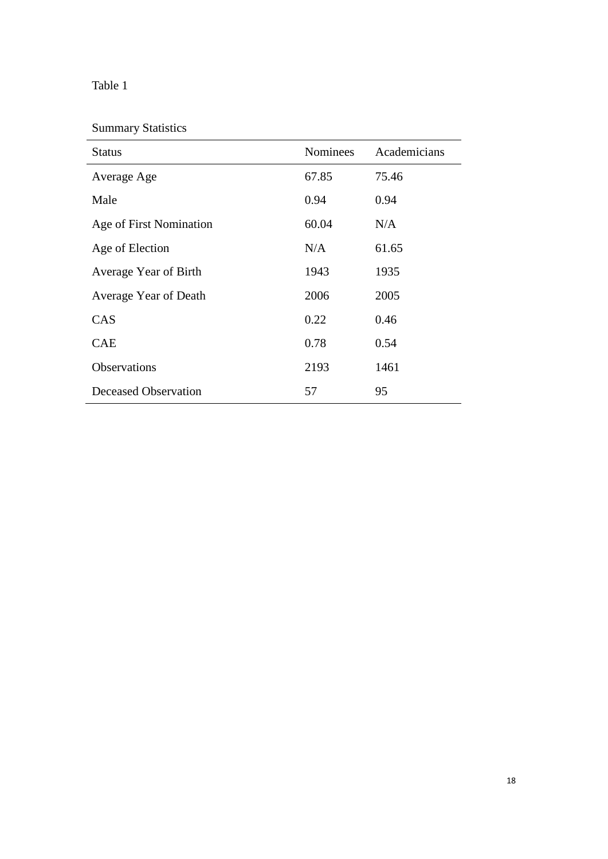Table 1

Summary Statistics

| <b>Status</b>               | <b>Nominees</b> | Academicians |
|-----------------------------|-----------------|--------------|
| Average Age                 | 67.85           | 75.46        |
| Male                        | 0.94            | 0.94         |
| Age of First Nomination     | 60.04           | N/A          |
| Age of Election             | N/A             | 61.65        |
| Average Year of Birth       | 1943            | 1935         |
| Average Year of Death       | 2006            | 2005         |
| CAS                         | 0.22            | 0.46         |
| <b>CAE</b>                  | 0.78            | 0.54         |
| Observations                | 2193            | 1461         |
| <b>Deceased Observation</b> | 57              | 95           |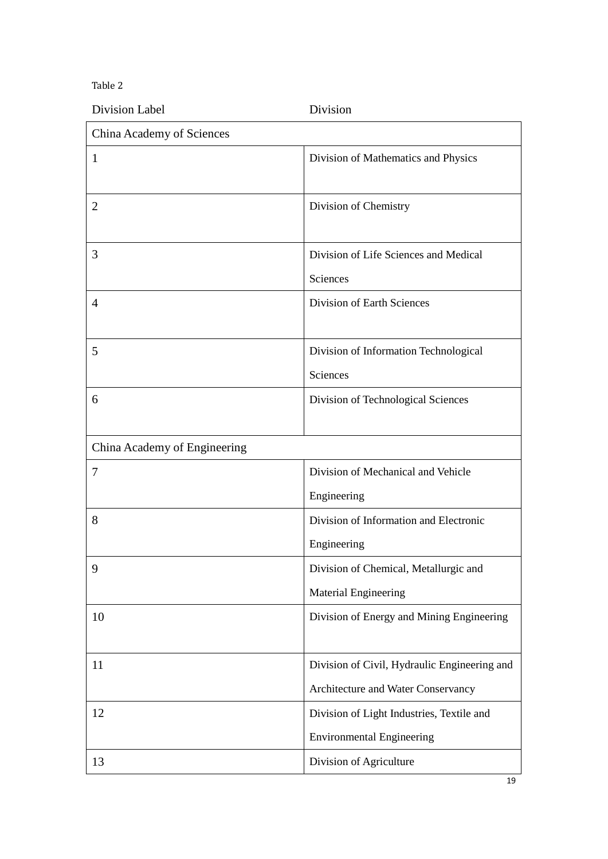### Table 2

| Division Label               | Division                                                                           |
|------------------------------|------------------------------------------------------------------------------------|
| China Academy of Sciences    |                                                                                    |
| 1                            | Division of Mathematics and Physics                                                |
| $\overline{2}$               | Division of Chemistry                                                              |
| 3                            | Division of Life Sciences and Medical<br>Sciences                                  |
| $\overline{4}$               | Division of Earth Sciences                                                         |
| 5                            | Division of Information Technological<br>Sciences                                  |
| 6                            | Division of Technological Sciences                                                 |
| China Academy of Engineering |                                                                                    |
| 7                            | Division of Mechanical and Vehicle<br>Engineering                                  |
| 8                            | Division of Information and Electronic<br>Engineering                              |
| 9                            | Division of Chemical, Metallurgic and<br><b>Material Engineering</b>               |
| 10                           | Division of Energy and Mining Engineering                                          |
| 11                           | Division of Civil, Hydraulic Engineering and<br>Architecture and Water Conservancy |
| 12                           | Division of Light Industries, Textile and<br><b>Environmental Engineering</b>      |
| 13                           | Division of Agriculture                                                            |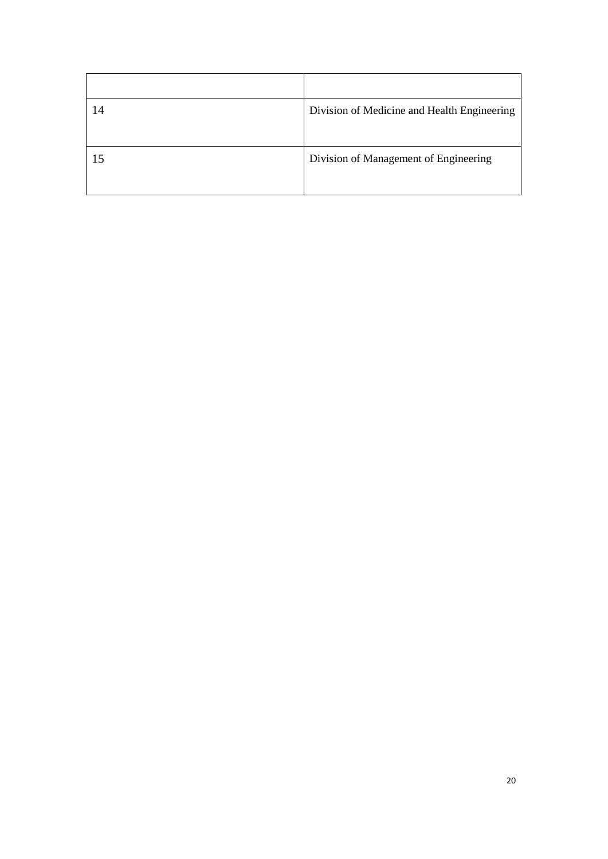| 14 | Division of Medicine and Health Engineering |
|----|---------------------------------------------|
| 15 | Division of Management of Engineering       |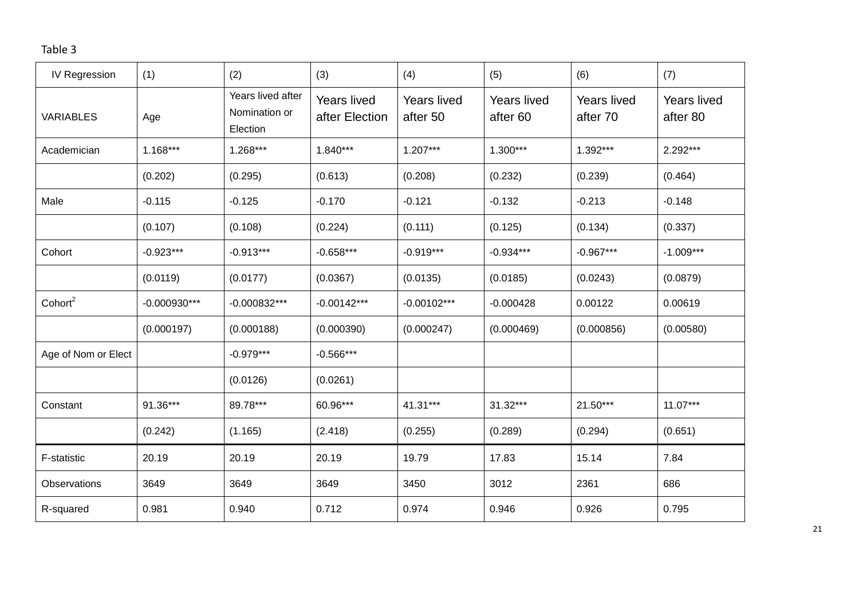### Table 3

| <b>IV Regression</b> | (1)            | (2)                                            | (3)                           | (4)                            | (5)                                       | (6)                            | (7)                            |
|----------------------|----------------|------------------------------------------------|-------------------------------|--------------------------------|-------------------------------------------|--------------------------------|--------------------------------|
| <b>VARIABLES</b>     | Age            | Years lived after<br>Nomination or<br>Election | Years lived<br>after Election | <b>Years lived</b><br>after 50 | <b>Years lived</b><br>after <sub>60</sub> | <b>Years lived</b><br>after 70 | <b>Years lived</b><br>after 80 |
| Academician          | $1.168***$     | 1.268***                                       | $1.840***$                    | $1.207***$                     | $1.300***$                                | 1.392***                       | 2.292***                       |
|                      | (0.202)        | (0.295)                                        | (0.613)                       | (0.208)                        | (0.232)                                   | (0.239)                        | (0.464)                        |
| Male                 | $-0.115$       | $-0.125$                                       | $-0.170$                      | $-0.121$                       | $-0.132$                                  | $-0.213$                       | $-0.148$                       |
|                      | (0.107)        | (0.108)                                        | (0.224)                       | (0.111)                        | (0.125)                                   | (0.134)                        | (0.337)                        |
| Cohort               | $-0.923***$    | $-0.913***$                                    | $-0.658***$                   | $-0.919***$                    | $-0.934***$                               | $-0.967***$                    | $-1.009***$                    |
|                      | (0.0119)       | (0.0177)                                       | (0.0367)                      | (0.0135)                       | (0.0185)                                  | (0.0243)                       | (0.0879)                       |
| Cohort <sup>2</sup>  | $-0.000930***$ | $-0.000832***$                                 | $-0.00142***$                 | $-0.00102***$                  | $-0.000428$                               | 0.00122                        | 0.00619                        |
|                      | (0.000197)     | (0.000188)                                     | (0.000390)                    | (0.000247)                     | (0.000469)                                | (0.000856)                     | (0.00580)                      |
| Age of Nom or Elect  |                | $-0.979***$                                    | $-0.566***$                   |                                |                                           |                                |                                |
|                      |                | (0.0126)                                       | (0.0261)                      |                                |                                           |                                |                                |
| Constant             | 91.36***       | 89.78***                                       | 60.96***                      | 41.31***                       | 31.32***                                  | 21.50***                       | 11.07***                       |
|                      | (0.242)        | (1.165)                                        | (2.418)                       | (0.255)                        | (0.289)                                   | (0.294)                        | (0.651)                        |
| F-statistic          | 20.19          | 20.19                                          | 20.19                         | 19.79                          | 17.83                                     | 15.14                          | 7.84                           |
| Observations         | 3649           | 3649                                           | 3649                          | 3450                           | 3012                                      | 2361                           | 686                            |
| R-squared            | 0.981          | 0.940                                          | 0.712                         | 0.974                          | 0.946                                     | 0.926                          | 0.795                          |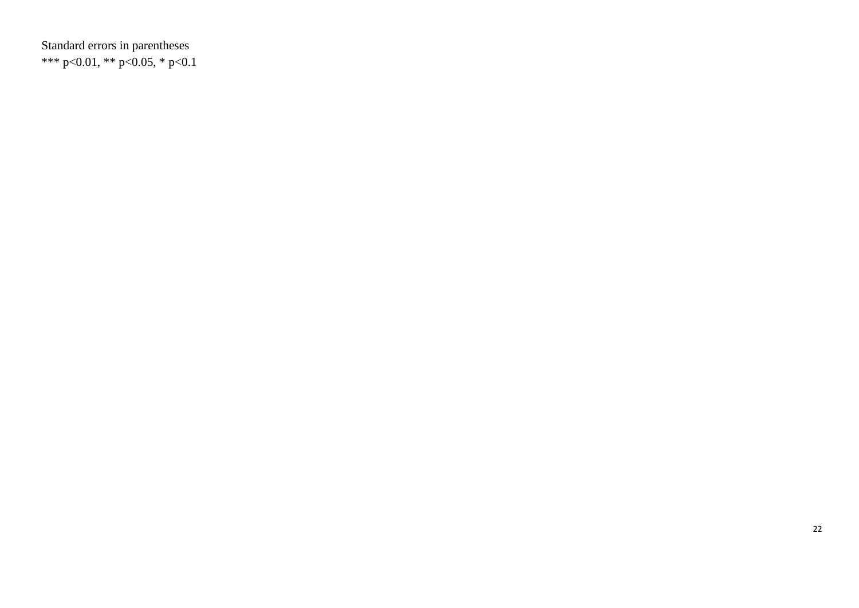Standard errors in parentheses \*\*\* p<0.01, \*\* p<0.05, \* p<0.1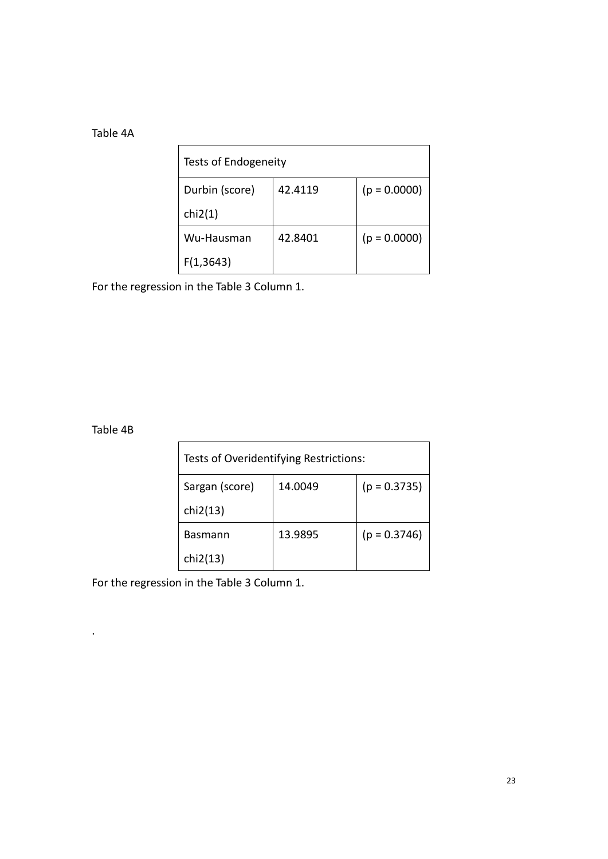Table 4A

| Tests of Endogeneity |         |                |  |
|----------------------|---------|----------------|--|
| Durbin (score)       | 42.4119 | $(p = 0.0000)$ |  |
| chi2(1)              |         |                |  |
| Wu-Hausman           | 42.8401 | $(p = 0.0000)$ |  |
| F(1, 3643)           |         |                |  |

For the regression in the Table 3 Column 1.

#### Table 4B

.

| Tests of Overidentifying Restrictions: |         |                |  |
|----------------------------------------|---------|----------------|--|
| Sargan (score)                         | 14.0049 | $(p = 0.3735)$ |  |
| chi2(13)                               |         |                |  |
| Basmann                                | 13.9895 | $(p = 0.3746)$ |  |
| chi2(13)                               |         |                |  |

<u> 1980 - Johann Stoff, deutscher Stoff, der Stoff, der Stoff, der Stoff, der Stoff, der Stoff, der Stoff, der </u>

For the regression in the Table 3 Column 1.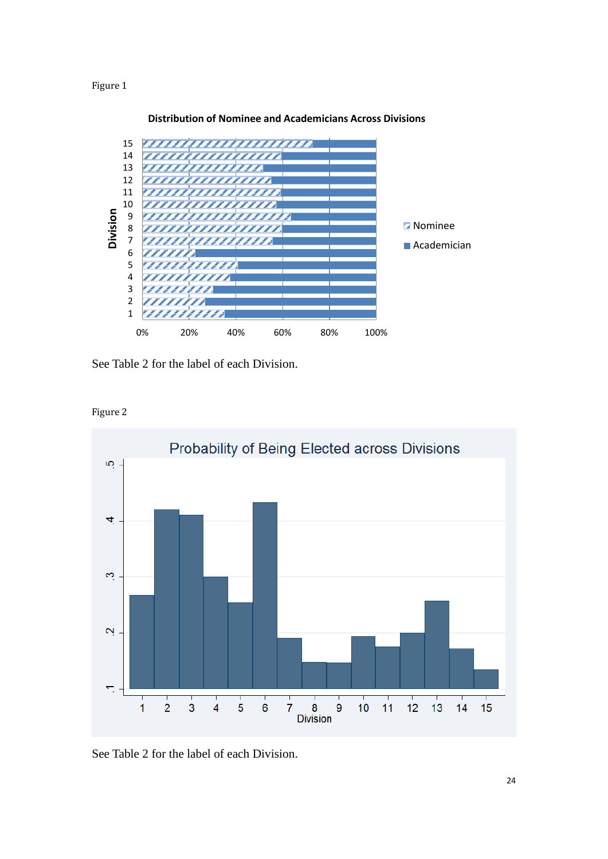



**Distribution of Nominee and Academicians Across Divisions**

See Table 2 for the label of each Division.





See Table 2 for the label of each Division.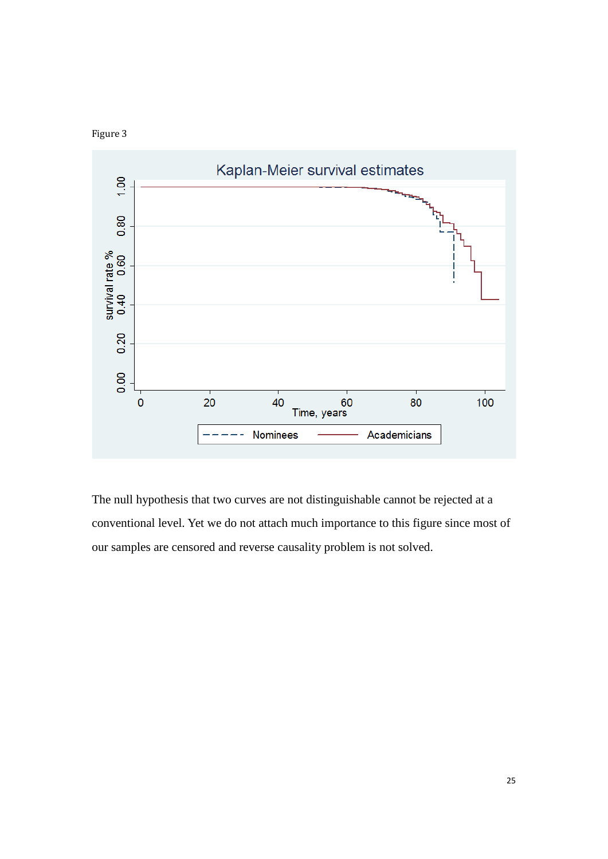



The null hypothesis that two curves are not distinguishable cannot be rejected at a conventional level. Yet we do not attach much importance to this figure since most of our samples are censored and reverse causality problem is not solved.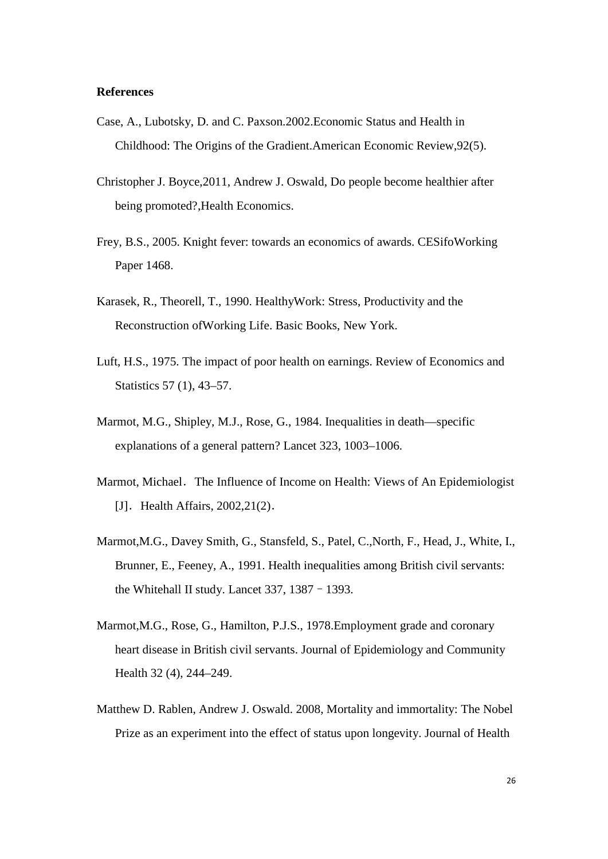#### **References**

- Case, A., Lubotsky, D. and C. Paxson.2002.Economic Status and Health in Childhood: The Origins of the Gradient.American Economic Review,92(5).
- Christopher J. Boyce,2011, Andrew J. Oswald, Do people become healthier after being promoted?,Health Economics.
- Frey, B.S., 2005. Knight fever: towards an economics of awards. CESifoWorking Paper 1468.
- Karasek, R., Theorell, T., 1990. HealthyWork: Stress, Productivity and the Reconstruction ofWorking Life. Basic Books, New York.
- Luft, H.S., 1975. The impact of poor health on earnings. Review of Economics and Statistics 57 (1), 43–57.
- Marmot, M.G., Shipley, M.J., Rose, G., 1984. Inequalities in death—specific explanations of a general pattern? Lancet 323, 1003–1006.
- Marmot, Michael. The Influence of Income on Health: Views of An Epidemiologist [J]. Health Affairs, 2002, 21(2).
- Marmot,M.G., Davey Smith, G., Stansfeld, S., Patel, C.,North, F., Head, J., White, I., Brunner, E., Feeney, A., 1991. Health inequalities among British civil servants: the Whitehall II study. Lancet 337, 1387–1393.
- Marmot,M.G., Rose, G., Hamilton, P.J.S., 1978.Employment grade and coronary heart disease in British civil servants. Journal of Epidemiology and Community Health 32 (4), 244–249.
- Matthew D. Rablen, Andrew J. Oswald. 2008, Mortality and immortality: The Nobel Prize as an experiment into the effect of status upon longevity. Journal of Health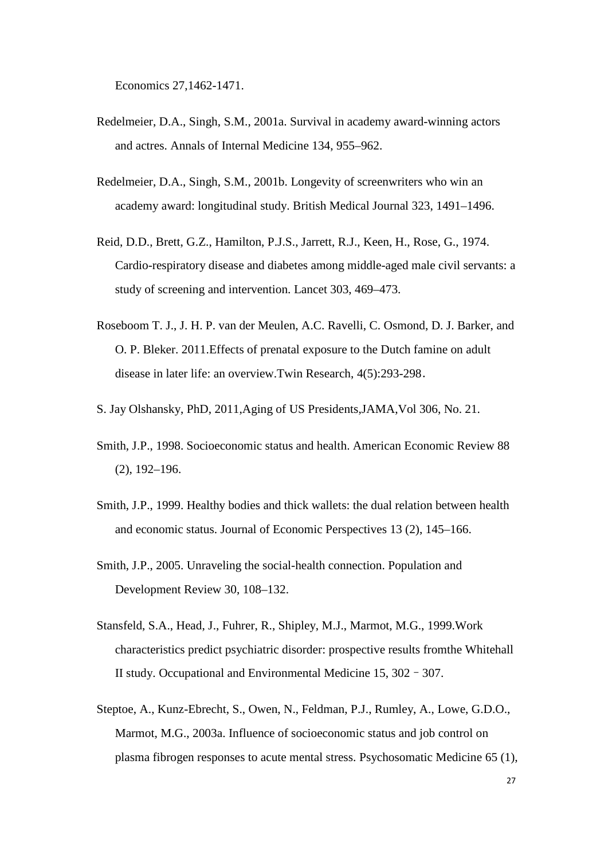Economics 27,1462-1471.

- Redelmeier, D.A., Singh, S.M., 2001a. Survival in academy award-winning actors and actres. Annals of Internal Medicine 134, 955–962.
- Redelmeier, D.A., Singh, S.M., 2001b. Longevity of screenwriters who win an academy award: longitudinal study. British Medical Journal 323, 1491–1496.
- Reid, D.D., Brett, G.Z., Hamilton, P.J.S., Jarrett, R.J., Keen, H., Rose, G., 1974. Cardio-respiratory disease and diabetes among middle-aged male civil servants: a study of screening and intervention. Lancet 303, 469–473.
- Roseboom T. J., J. H. P. van der Meulen, A.C. Ravelli, C. Osmond, D. J. Barker, and O. P. Bleker. 2011.Effects of prenatal exposure to the Dutch famine on adult disease in later life: an overview.Twin Research, 4(5):293-298.
- S. Jay Olshansky, PhD, 2011,Aging of US Presidents,JAMA,Vol 306, No. 21.
- Smith, J.P., 1998. Socioeconomic status and health. American Economic Review 88 (2), 192–196.
- Smith, J.P., 1999. Healthy bodies and thick wallets: the dual relation between health and economic status. Journal of Economic Perspectives 13 (2), 145–166.
- Smith, J.P., 2005. Unraveling the social-health connection. Population and Development Review 30, 108–132.
- Stansfeld, S.A., Head, J., Fuhrer, R., Shipley, M.J., Marmot, M.G., 1999.Work characteristics predict psychiatric disorder: prospective results fromthe Whitehall II study. Occupational and Environmental Medicine 15, 302–307.
- Steptoe, A., Kunz-Ebrecht, S., Owen, N., Feldman, P.J., Rumley, A., Lowe, G.D.O., Marmot, M.G., 2003a. Influence of socioeconomic status and job control on plasma fibrogen responses to acute mental stress. Psychosomatic Medicine 65 (1),